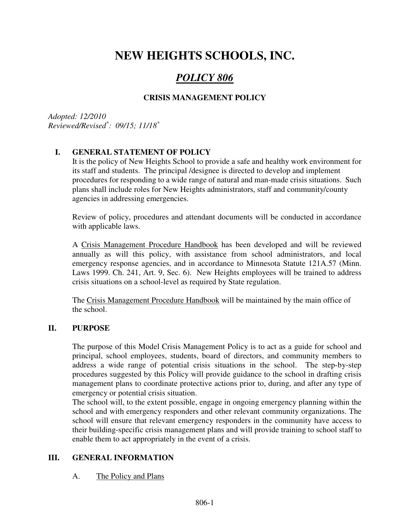# **NEW HEIGHTS SCHOOLS, INC.**

## *POLICY 806*

## **CRISIS MANAGEMENT POLICY**

*Adopted: 12/2010 Reviewed/Revised\* : 09/15; 11/18\**

#### **I. GENERAL STATEMENT OF POLICY**

It is the policy of New Heights School to provide a safe and healthy work environment for its staff and students. The principal /designee is directed to develop and implement procedures for responding to a wide range of natural and man-made crisis situations. Such plans shall include roles for New Heights administrators, staff and community/county agencies in addressing emergencies.

Review of policy, procedures and attendant documents will be conducted in accordance with applicable laws.

A Crisis Management Procedure Handbook has been developed and will be reviewed annually as will this policy, with assistance from school administrators, and local emergency response agencies, and in accordance to Minnesota Statute 121A.57 (Minn. Laws 1999. Ch. 241, Art. 9, Sec. 6). New Heights employees will be trained to address crisis situations on a school-level as required by State regulation.

The Crisis Management Procedure Handbook will be maintained by the main office of the school.

#### **II. PURPOSE**

The purpose of this Model Crisis Management Policy is to act as a guide for school and principal, school employees, students, board of directors, and community members to address a wide range of potential crisis situations in the school. The step-by-step procedures suggested by this Policy will provide guidance to the school in drafting crisis management plans to coordinate protective actions prior to, during, and after any type of emergency or potential crisis situation.

The school will, to the extent possible, engage in ongoing emergency planning within the school and with emergency responders and other relevant community organizations. The school will ensure that relevant emergency responders in the community have access to their building-specific crisis management plans and will provide training to school staff to enable them to act appropriately in the event of a crisis.

#### **III. GENERAL INFORMATION**

#### A. The Policy and Plans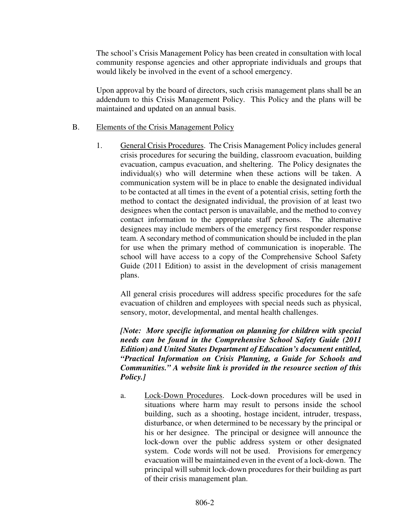The school's Crisis Management Policy has been created in consultation with local community response agencies and other appropriate individuals and groups that would likely be involved in the event of a school emergency.

Upon approval by the board of directors, such crisis management plans shall be an addendum to this Crisis Management Policy. This Policy and the plans will be maintained and updated on an annual basis.

#### B. Elements of the Crisis Management Policy

1. General Crisis Procedures. The Crisis Management Policy includes general crisis procedures for securing the building, classroom evacuation, building evacuation, campus evacuation, and sheltering. The Policy designates the individual(s) who will determine when these actions will be taken. A communication system will be in place to enable the designated individual to be contacted at all times in the event of a potential crisis, setting forth the method to contact the designated individual, the provision of at least two designees when the contact person is unavailable, and the method to convey contact information to the appropriate staff persons. The alternative designees may include members of the emergency first responder response team. A secondary method of communication should be included in the plan for use when the primary method of communication is inoperable. The school will have access to a copy of the Comprehensive School Safety Guide (2011 Edition) to assist in the development of crisis management plans.

All general crisis procedures will address specific procedures for the safe evacuation of children and employees with special needs such as physical, sensory, motor, developmental, and mental health challenges.

*[Note: More specific information on planning for children with special needs can be found in the Comprehensive School Safety Guide (2011 Edition) and United States Department of Education's document entitled, "Practical Information on Crisis Planning, a Guide for Schools and Communities." A website link is provided in the resource section of this Policy.]*

a. Lock-Down Procedures. Lock-down procedures will be used in situations where harm may result to persons inside the school building, such as a shooting, hostage incident, intruder, trespass, disturbance, or when determined to be necessary by the principal or his or her designee. The principal or designee will announce the lock-down over the public address system or other designated system. Code words will not be used. Provisions for emergency evacuation will be maintained even in the event of a lock-down. The principal will submit lock-down procedures for their building as part of their crisis management plan.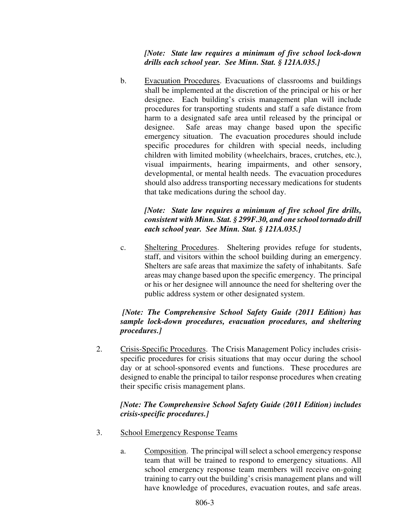*[Note: State law requires a minimum of five school lock-down drills each school year. See Minn. Stat. § 121A.035.]*

b. Evacuation Procedures. Evacuations of classrooms and buildings shall be implemented at the discretion of the principal or his or her designee. Each building's crisis management plan will include procedures for transporting students and staff a safe distance from harm to a designated safe area until released by the principal or designee. Safe areas may change based upon the specific emergency situation. The evacuation procedures should include specific procedures for children with special needs, including children with limited mobility (wheelchairs, braces, crutches, etc.), visual impairments, hearing impairments, and other sensory, developmental, or mental health needs. The evacuation procedures should also address transporting necessary medications for students that take medications during the school day.

#### *[Note: State law requires a minimum of five school fire drills, consistent with Minn. Stat. § 299F.30, and one school tornado drill each school year. See Minn. Stat. § 121A.035.]*

c. Sheltering Procedures. Sheltering provides refuge for students, staff, and visitors within the school building during an emergency. Shelters are safe areas that maximize the safety of inhabitants. Safe areas may change based upon the specific emergency. The principal or his or her designee will announce the need for sheltering over the public address system or other designated system.

#### *[Note: The Comprehensive School Safety Guide (2011 Edition) has sample lock-down procedures, evacuation procedures, and sheltering procedures.]*

2. Crisis-Specific Procedures. The Crisis Management Policy includes crisisspecific procedures for crisis situations that may occur during the school day or at school-sponsored events and functions. These procedures are designed to enable the principal to tailor response procedures when creating their specific crisis management plans.

#### *[Note: The Comprehensive School Safety Guide (2011 Edition) includes crisis-specific procedures.]*

- 3. School Emergency Response Teams
	- a. Composition. The principal will select a school emergency response team that will be trained to respond to emergency situations. All school emergency response team members will receive on-going training to carry out the building's crisis management plans and will have knowledge of procedures, evacuation routes, and safe areas.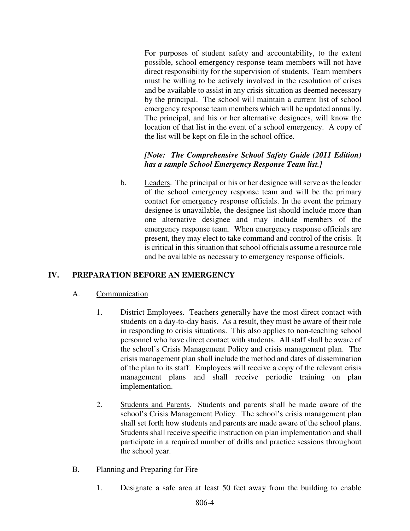For purposes of student safety and accountability, to the extent possible, school emergency response team members will not have direct responsibility for the supervision of students. Team members must be willing to be actively involved in the resolution of crises and be available to assist in any crisis situation as deemed necessary by the principal. The school will maintain a current list of school emergency response team members which will be updated annually. The principal, and his or her alternative designees, will know the location of that list in the event of a school emergency. A copy of the list will be kept on file in the school office.

## *[Note: The Comprehensive School Safety Guide (2011 Edition) has a sample School Emergency Response Team list.]*

b. Leaders. The principal or his or her designee will serve as the leader of the school emergency response team and will be the primary contact for emergency response officials. In the event the primary designee is unavailable, the designee list should include more than one alternative designee and may include members of the emergency response team. When emergency response officials are present, they may elect to take command and control of the crisis. It is critical in this situation that school officials assume a resource role and be available as necessary to emergency response officials.

## **IV. PREPARATION BEFORE AN EMERGENCY**

#### A. Communication

- 1. District Employees. Teachers generally have the most direct contact with students on a day-to-day basis. As a result, they must be aware of their role in responding to crisis situations. This also applies to non-teaching school personnel who have direct contact with students. All staff shall be aware of the school's Crisis Management Policy and crisis management plan. The crisis management plan shall include the method and dates of dissemination of the plan to its staff. Employees will receive a copy of the relevant crisis management plans and shall receive periodic training on plan implementation.
- 2. Students and Parents. Students and parents shall be made aware of the school's Crisis Management Policy. The school's crisis management plan shall set forth how students and parents are made aware of the school plans. Students shall receive specific instruction on plan implementation and shall participate in a required number of drills and practice sessions throughout the school year.

#### B. Planning and Preparing for Fire

1. Designate a safe area at least 50 feet away from the building to enable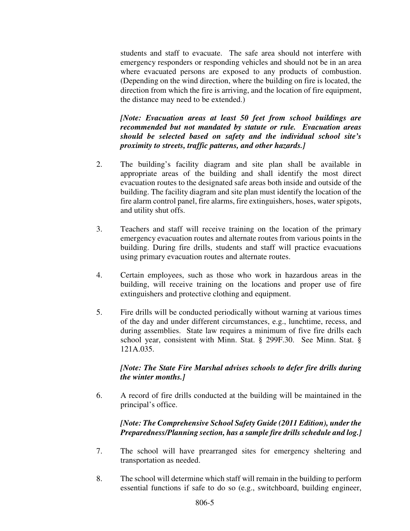students and staff to evacuate. The safe area should not interfere with emergency responders or responding vehicles and should not be in an area where evacuated persons are exposed to any products of combustion. (Depending on the wind direction, where the building on fire is located, the direction from which the fire is arriving, and the location of fire equipment, the distance may need to be extended.)

*[Note: Evacuation areas at least 50 feet from school buildings are recommended but not mandated by statute or rule. Evacuation areas should be selected based on safety and the individual school site's proximity to streets, traffic patterns, and other hazards.]*

- 2. The building's facility diagram and site plan shall be available in appropriate areas of the building and shall identify the most direct evacuation routes to the designated safe areas both inside and outside of the building. The facility diagram and site plan must identify the location of the fire alarm control panel, fire alarms, fire extinguishers, hoses, water spigots, and utility shut offs.
- 3. Teachers and staff will receive training on the location of the primary emergency evacuation routes and alternate routes from various points in the building. During fire drills, students and staff will practice evacuations using primary evacuation routes and alternate routes.
- 4. Certain employees, such as those who work in hazardous areas in the building, will receive training on the locations and proper use of fire extinguishers and protective clothing and equipment.
- 5. Fire drills will be conducted periodically without warning at various times of the day and under different circumstances, e.g., lunchtime, recess, and during assemblies. State law requires a minimum of five fire drills each school year, consistent with Minn. Stat. § 299F.30. See Minn. Stat. § 121A.035.

#### *[Note: The State Fire Marshal advises schools to defer fire drills during the winter months.]*

6. A record of fire drills conducted at the building will be maintained in the principal's office.

#### *[Note: The Comprehensive School Safety Guide (2011 Edition), under the Preparedness/Planning section, has a sample fire drills schedule and log.]*

- 7. The school will have prearranged sites for emergency sheltering and transportation as needed.
- 8. The school will determine which staff will remain in the building to perform essential functions if safe to do so (e.g., switchboard, building engineer,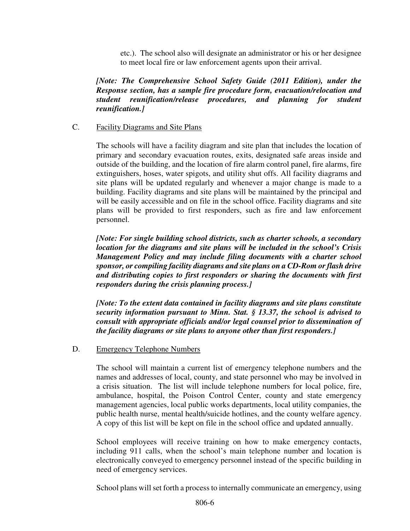etc.). The school also will designate an administrator or his or her designee to meet local fire or law enforcement agents upon their arrival.

*[Note: The Comprehensive School Safety Guide (2011 Edition), under the Response section, has a sample fire procedure form, evacuation/relocation and student reunification/release procedures, and planning for student reunification.]*

#### C. Facility Diagrams and Site Plans

The schools will have a facility diagram and site plan that includes the location of primary and secondary evacuation routes, exits, designated safe areas inside and outside of the building, and the location of fire alarm control panel, fire alarms, fire extinguishers, hoses, water spigots, and utility shut offs. All facility diagrams and site plans will be updated regularly and whenever a major change is made to a building. Facility diagrams and site plans will be maintained by the principal and will be easily accessible and on file in the school office. Facility diagrams and site plans will be provided to first responders, such as fire and law enforcement personnel.

*[Note: For single building school districts, such as charter schools, a secondary location for the diagrams and site plans will be included in the school's Crisis Management Policy and may include filing documents with a charter school sponsor, or compiling facility diagrams and site plans on a CD-Rom or flash drive and distributing copies to first responders or sharing the documents with first responders during the crisis planning process.]* 

*[Note: To the extent data contained in facility diagrams and site plans constitute security information pursuant to Minn. Stat. § 13.37, the school is advised to consult with appropriate officials and/or legal counsel prior to dissemination of the facility diagrams or site plans to anyone other than first responders.]* 

#### D. Emergency Telephone Numbers

The school will maintain a current list of emergency telephone numbers and the names and addresses of local, county, and state personnel who may be involved in a crisis situation. The list will include telephone numbers for local police, fire, ambulance, hospital, the Poison Control Center, county and state emergency management agencies, local public works departments, local utility companies, the public health nurse, mental health/suicide hotlines, and the county welfare agency. A copy of this list will be kept on file in the school office and updated annually.

School employees will receive training on how to make emergency contacts, including 911 calls, when the school's main telephone number and location is electronically conveyed to emergency personnel instead of the specific building in need of emergency services.

School plans will set forth a process to internally communicate an emergency, using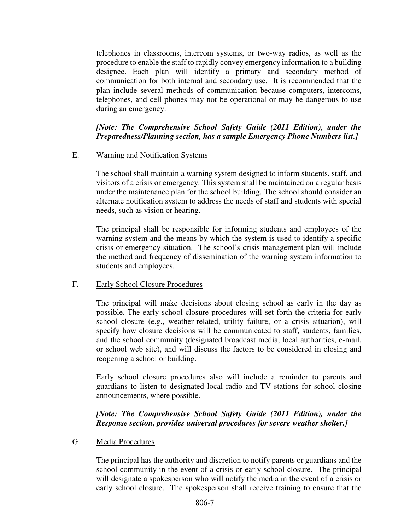telephones in classrooms, intercom systems, or two-way radios, as well as the procedure to enable the staff to rapidly convey emergency information to a building designee. Each plan will identify a primary and secondary method of communication for both internal and secondary use. It is recommended that the plan include several methods of communication because computers, intercoms, telephones, and cell phones may not be operational or may be dangerous to use during an emergency.

#### *[Note: The Comprehensive School Safety Guide (2011 Edition), under the Preparedness/Planning section, has a sample Emergency Phone Numbers list.]*

#### E. Warning and Notification Systems

 The school shall maintain a warning system designed to inform students, staff, and visitors of a crisis or emergency. This system shall be maintained on a regular basis under the maintenance plan for the school building. The school should consider an alternate notification system to address the needs of staff and students with special needs, such as vision or hearing.

The principal shall be responsible for informing students and employees of the warning system and the means by which the system is used to identify a specific crisis or emergency situation. The school's crisis management plan will include the method and frequency of dissemination of the warning system information to students and employees.

#### F. Early School Closure Procedures

 The principal will make decisions about closing school as early in the day as possible. The early school closure procedures will set forth the criteria for early school closure (e.g., weather-related, utility failure, or a crisis situation), will specify how closure decisions will be communicated to staff, students, families, and the school community (designated broadcast media, local authorities, e-mail, or school web site), and will discuss the factors to be considered in closing and reopening a school or building.

 Early school closure procedures also will include a reminder to parents and guardians to listen to designated local radio and TV stations for school closing announcements, where possible.

### *[Note: The Comprehensive School Safety Guide (2011 Edition), under the Response section, provides universal procedures for severe weather shelter.]*

#### G. Media Procedures

The principal has the authority and discretion to notify parents or guardians and the school community in the event of a crisis or early school closure. The principal will designate a spokesperson who will notify the media in the event of a crisis or early school closure. The spokesperson shall receive training to ensure that the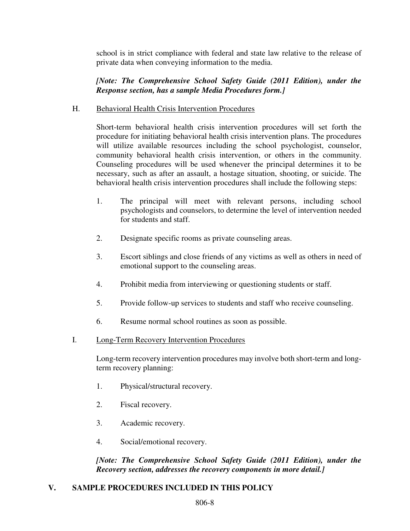school is in strict compliance with federal and state law relative to the release of private data when conveying information to the media.

#### *[Note: The Comprehensive School Safety Guide (2011 Edition), under the Response section, has a sample Media Procedures form.]*

#### H. Behavioral Health Crisis Intervention Procedures

 Short-term behavioral health crisis intervention procedures will set forth the procedure for initiating behavioral health crisis intervention plans. The procedures will utilize available resources including the school psychologist, counselor, community behavioral health crisis intervention, or others in the community. Counseling procedures will be used whenever the principal determines it to be necessary, such as after an assault, a hostage situation, shooting, or suicide. The behavioral health crisis intervention procedures shall include the following steps:

- 1. The principal will meet with relevant persons, including school psychologists and counselors, to determine the level of intervention needed for students and staff.
- 2. Designate specific rooms as private counseling areas.
- 3. Escort siblings and close friends of any victims as well as others in need of emotional support to the counseling areas.
- 4. Prohibit media from interviewing or questioning students or staff.
- 5. Provide follow-up services to students and staff who receive counseling.
- 6. Resume normal school routines as soon as possible.
- I. Long-Term Recovery Intervention Procedures

Long-term recovery intervention procedures may involve both short-term and longterm recovery planning:

- 1. Physical/structural recovery.
- 2. Fiscal recovery.
- 3. Academic recovery.
- 4. Social/emotional recovery.

*[Note: The Comprehensive School Safety Guide (2011 Edition), under the Recovery section, addresses the recovery components in more detail.]*

#### **V. SAMPLE PROCEDURES INCLUDED IN THIS POLICY**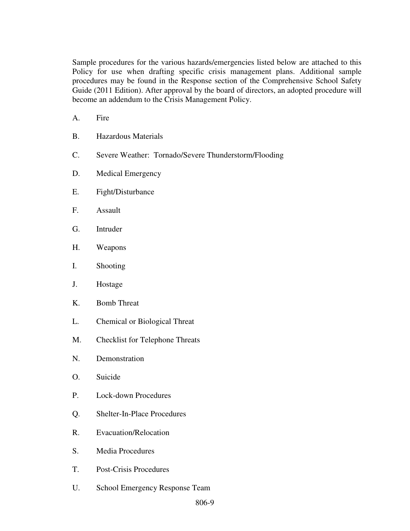Sample procedures for the various hazards/emergencies listed below are attached to this Policy for use when drafting specific crisis management plans. Additional sample procedures may be found in the Response section of the Comprehensive School Safety Guide (2011 Edition). After approval by the board of directors, an adopted procedure will become an addendum to the Crisis Management Policy.

- A. Fire
- B. Hazardous Materials
- C. Severe Weather: Tornado/Severe Thunderstorm/Flooding
- D. Medical Emergency
- E. Fight/Disturbance
- F. Assault
- G. Intruder
- H. Weapons
- I. Shooting
- J. Hostage
- K. Bomb Threat
- L. Chemical or Biological Threat
- M. Checklist for Telephone Threats
- N. Demonstration
- O. Suicide
- P. Lock-down Procedures
- Q. Shelter-In-Place Procedures
- R. Evacuation/Relocation
- S. Media Procedures
- T. Post-Crisis Procedures
- U. School Emergency Response Team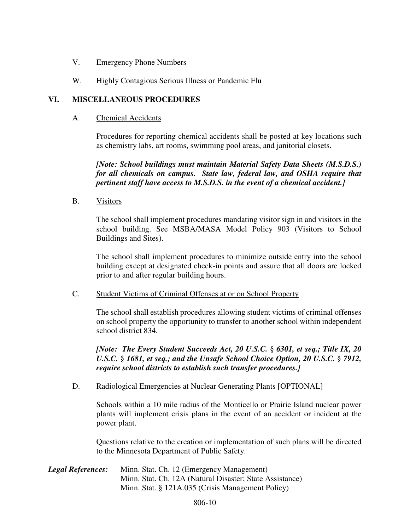- V. Emergency Phone Numbers
- W. Highly Contagious Serious Illness or Pandemic Flu

#### **VI. MISCELLANEOUS PROCEDURES**

A. Chemical Accidents

Procedures for reporting chemical accidents shall be posted at key locations such as chemistry labs, art rooms, swimming pool areas, and janitorial closets.

*[Note: School buildings must maintain Material Safety Data Sheets (M.S.D.S.) for all chemicals on campus. State law, federal law, and OSHA require that pertinent staff have access to M.S.D.S. in the event of a chemical accident.]* 

B. Visitors

The school shall implement procedures mandating visitor sign in and visitors in the school building. See MSBA/MASA Model Policy 903 (Visitors to School Buildings and Sites).

The school shall implement procedures to minimize outside entry into the school building except at designated check-in points and assure that all doors are locked prior to and after regular building hours.

C. Student Victims of Criminal Offenses at or on School Property

The school shall establish procedures allowing student victims of criminal offenses on school property the opportunity to transfer to another school within independent school district 834.

*[Note: The Every Student Succeeds Act, 20 U.S.C.* § *6301, et seq.; Title IX, 20 U.S.C.* § *1681, et seq.; and the Unsafe School Choice Option, 20 U.S.C.* § *7912, require school districts to establish such transfer procedures.]* 

D. Radiological Emergencies at Nuclear Generating Plants [OPTIONAL]

Schools within a 10 mile radius of the Monticello or Prairie Island nuclear power plants will implement crisis plans in the event of an accident or incident at the power plant.

Questions relative to the creation or implementation of such plans will be directed to the Minnesota Department of Public Safety.

| <b>Legal References:</b> | Minn. Stat. Ch. 12 (Emergency Management)                |
|--------------------------|----------------------------------------------------------|
|                          | Minn. Stat. Ch. 12A (Natural Disaster; State Assistance) |
|                          | Minn. Stat. § 121A.035 (Crisis Management Policy)        |